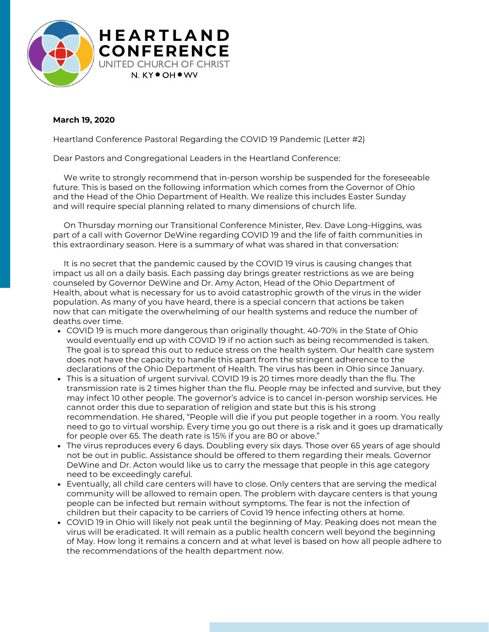

## **March 19, 2020**

Heartland Conference Pastoral Regarding the COVID 19 Pandemic (Letter #2)

Dear Pastors and Congregational Leaders in the Heartland Conference:

We write to strongly recommend that in-person worship be suspended for the foreseeable future. This is based on the following information which comes from the Governor of Ohio and the Head of the Ohio Department of Health. We realize this includes Easter Sunday and will require special planning related to many dimensions of church life.

On Thursday morning our Transitional Conference Minister, Rev. Dave Long-Higgins, was part of a call with Governor DeWine regarding COVID 19 and the life of faith communities in this extraordinary season. Here is a summary of what was shared in that conversation:

It is no secret that the pandemic caused by the COVID 19 virus is causing changes that impact us all on a daily basis. Each passing day brings greater restrictions as we are being counseled by Governor DeWine and Dr. Amy Acton, Head of the Ohio Department of Health, about what is necessary for us to avoid catastrophic growth of the virus in the wider population. As many of you have heard, there is a special concern that actions be taken now that can mitigate the overwhelming of our health systems and reduce the number of deaths over time.

- COVID 19 is much more dangerous than originally thought. 40-70% in the State of Ohio would eventually end up with COVID 19 if no action such as being recommended is taken. The goal is to spread this out to reduce stress on the health system. Our health care system does not have the capacity to handle this apart from the stringent adherence to the declarations of the Ohio Department of Health. The virus has been in Ohio since January.
- This is a situation of urgent survival. COVID 19 is 20 times more deadly than the flu. The transmission rate is 2 times higher than the flu. People may be infected and survive, but they may infect 10 other people. The governor's advice is to cancel in-person worship services. He cannot order this due to separation of religion and state but this is his strong recommendation. He shared, "People will die if you put people together in a room. You really need to go to virtual worship. Every time you go out there is a risk and it goes up dramatically for people over 65. The death rate is 15% if you are 80 or above."
- The virus reproduces every 6 days. Doubling every six days. Those over 65 years of age should not be out in public. Assistance should be offered to them regarding their meals. Governor DeWine and Dr. Acton would like us to carry the message that people in this age category need to be exceedingly careful.
- Eventually, all child care centers will have to close. Only centers that are serving the medical community will be allowed to remain open. The problem with daycare centers is that young people can be infected but remain without symptoms. The fear is not the infection of children but their capacity to be carriers of Covid 19 hence infecting others at home.
- COVID 19 in Ohio will likely not peak until the beginning of May. Peaking does not mean the virus will be eradicated. It will remain as a public health concern well beyond the beginning of May. How long it remains a concern and at what level is based on how all people adhere to the recommendations of the health department now.